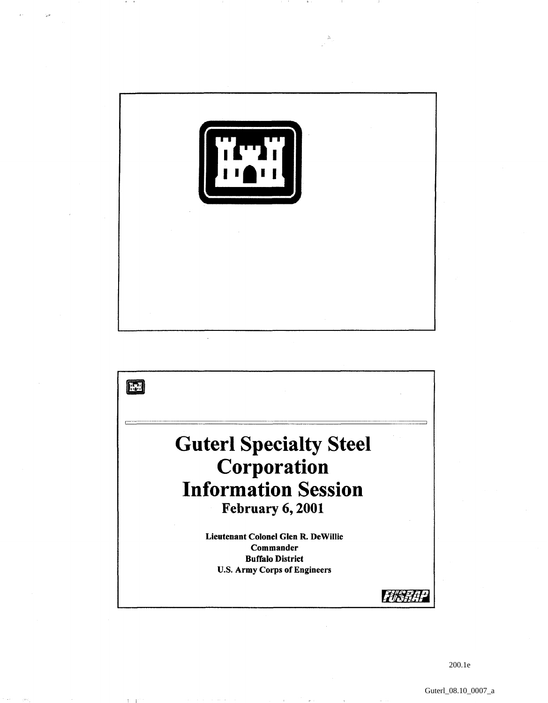

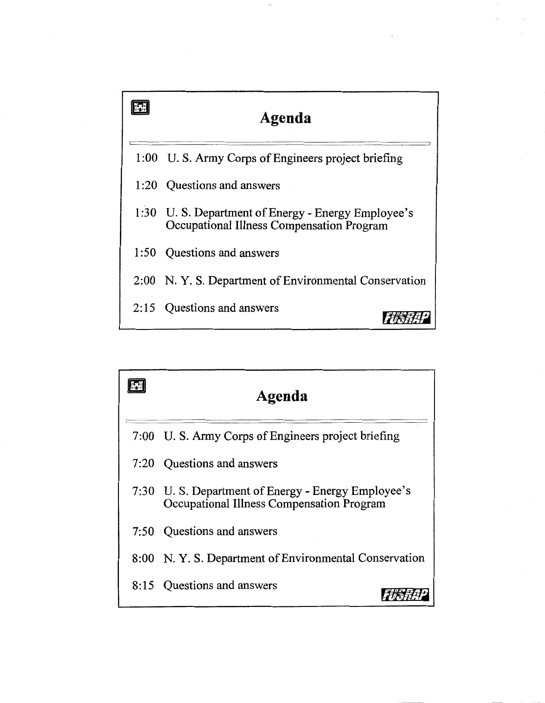

| Agenda                                                                                          |
|-------------------------------------------------------------------------------------------------|
| 7:00 U.S. Army Corps of Engineers project briefing                                              |
| 7:20 Questions and answers                                                                      |
| 7:30 U.S. Department of Energy - Energy Employee's<br>Occupational Illness Compensation Program |
| 7:50 Ouestions and answers                                                                      |
| 8:00 N.Y. S. Department of Environmental Conservation                                           |
| 8:15 Questions and answers                                                                      |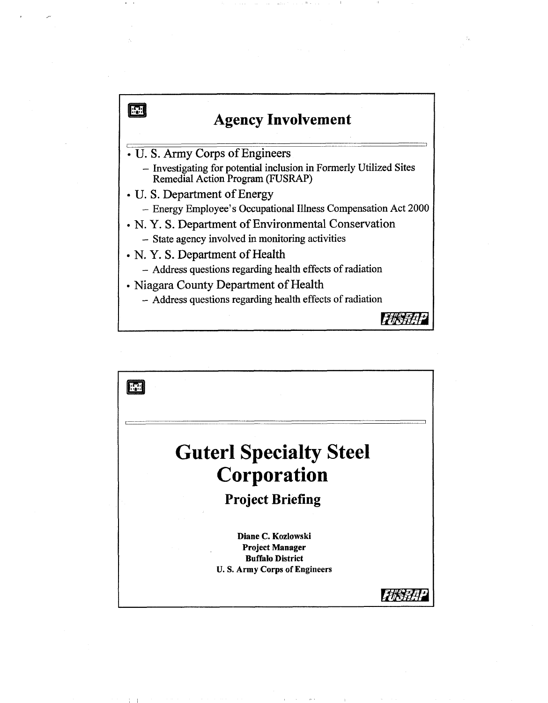

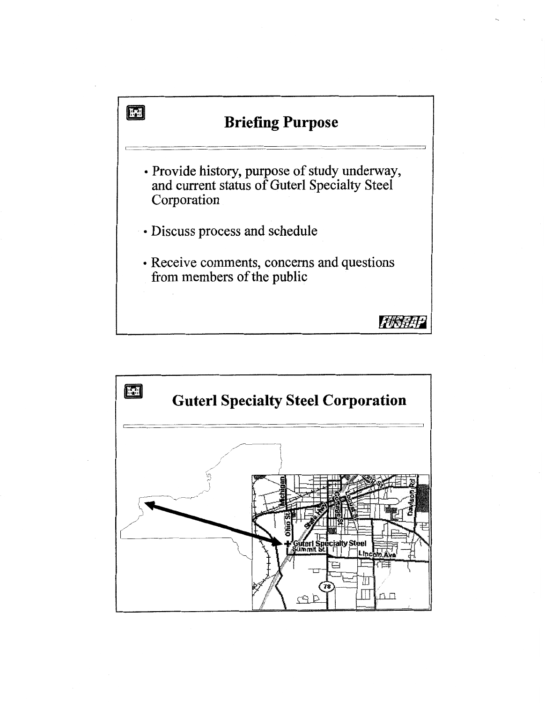

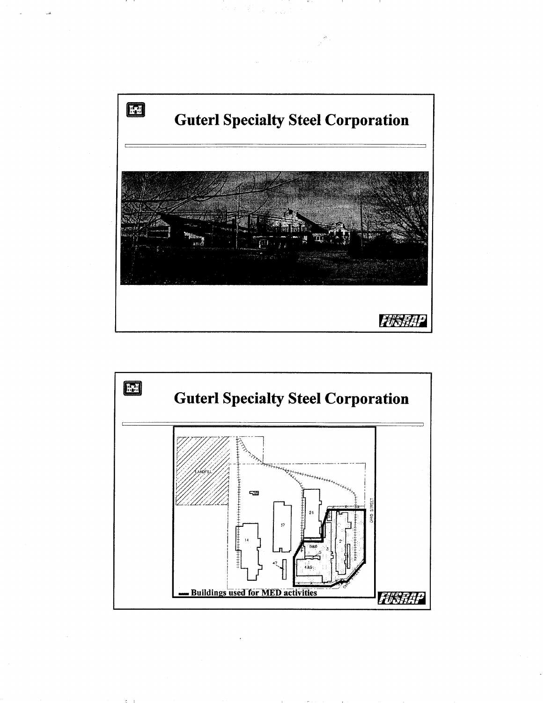



 $\mathcal{R} = 0$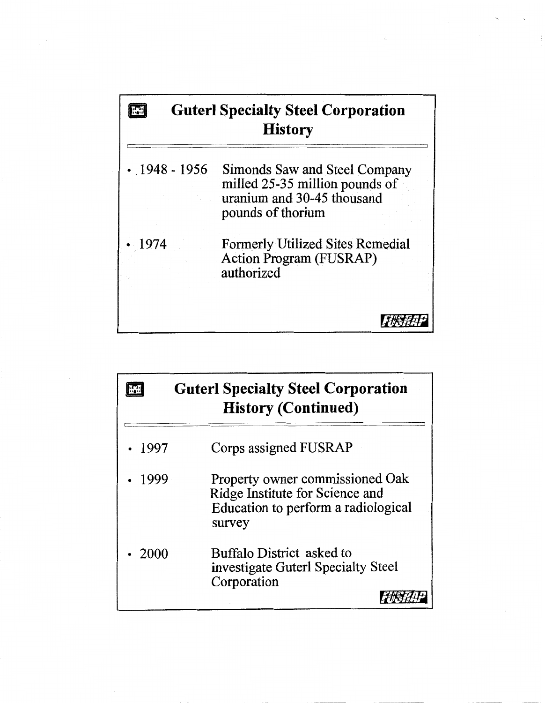## $\begin{tabular}{|c|c|} \hline \hline \quad \quad & \quad \quad & \quad \quad \\ \hline \end{tabular}$ **Guterl Specialty Steel Corporation** History

| $\cdot$ 1948 - 1956 | Simonds Saw and Steel Company<br>milled 25-35 million pounds of<br>uranium and 30-45 thousand<br>pounds of thorium |
|---------------------|--------------------------------------------------------------------------------------------------------------------|
| $\cdot$ 1974        | <b>Formerly Utilized Sites Remedial</b><br>Action Program (FUSRAP)<br>authorized                                   |

FUSHAP

|              | <b>Guterl Specialty Steel Corporation</b><br><b>History (Continued)</b>                                             |
|--------------|---------------------------------------------------------------------------------------------------------------------|
| .1997        | Corps assigned FUSRAP                                                                                               |
| .1999        | Property owner commissioned Oak<br>Ridge Institute for Science and<br>Education to perform a radiological<br>survey |
| $\cdot$ 2000 | Buffalo District asked to<br>investigate Guterl Specialty Steel<br>Corporation                                      |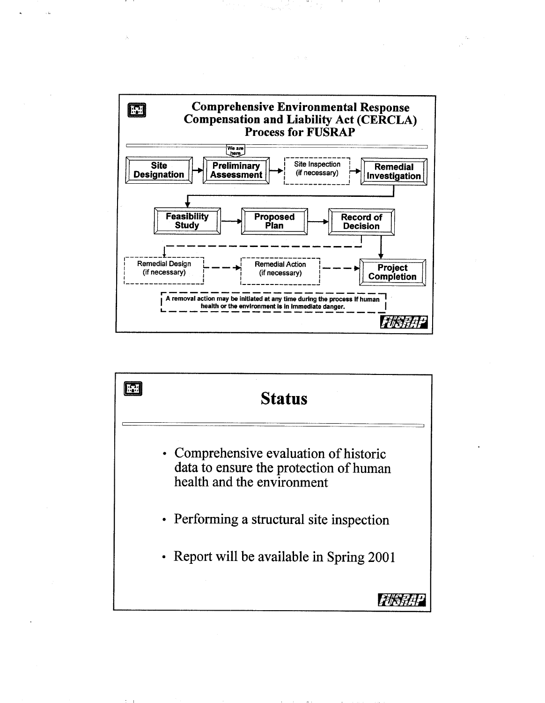